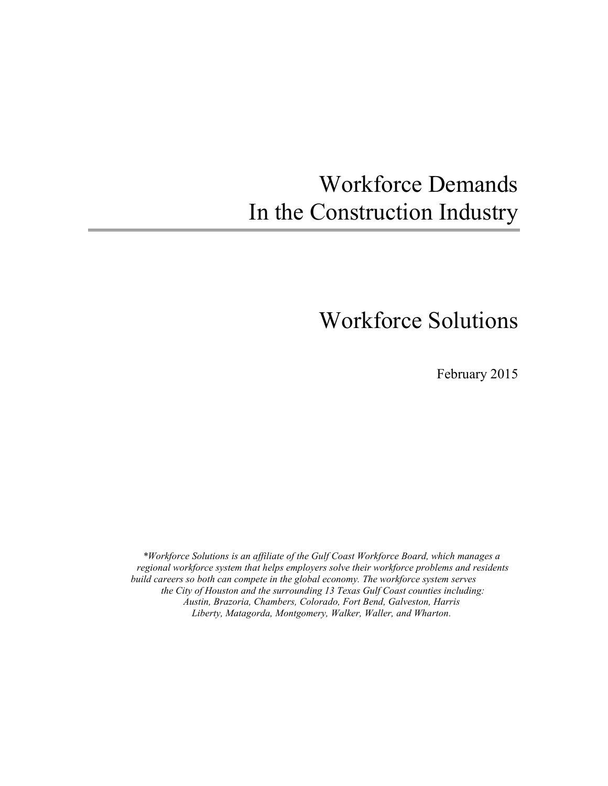# Workforce Demands In the Construction Industry

## Workforce Solutions

February 2015

*\*Workforce Solutions is an affiliate of the Gulf Coast Workforce Board, which manages a regional workforce system that helps employers solve their workforce problems and residents build careers so both can compete in the global economy. The workforce system serves the City of Houston and the surrounding 13 Texas Gulf Coast counties including: Austin, Brazoria, Chambers, Colorado, Fort Bend, Galveston, Harris Liberty, Matagorda, Montgomery, Walker, Waller, and Wharton.*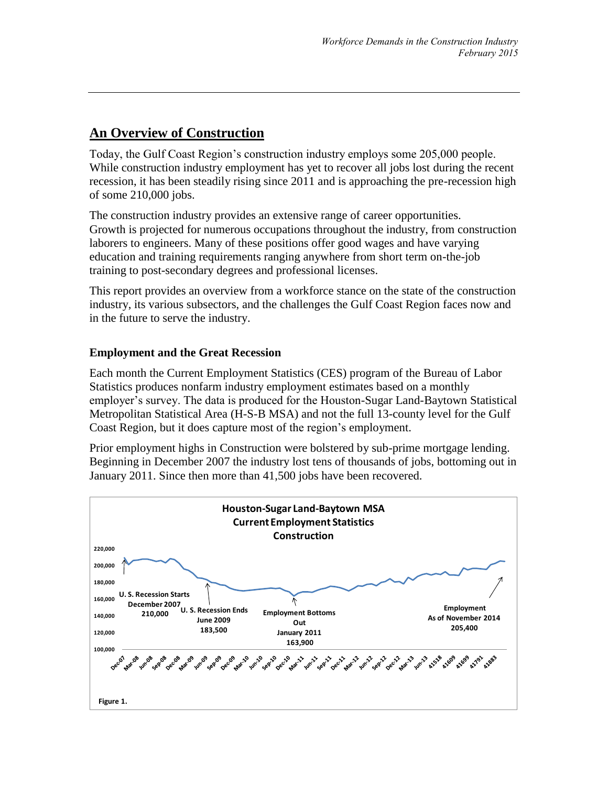## **An Overview of Construction**

Today, the Gulf Coast Region's construction industry employs some 205,000 people. While construction industry employment has yet to recover all jobs lost during the recent recession, it has been steadily rising since 2011 and is approaching the pre-recession high of some 210,000 jobs.

The construction industry provides an extensive range of career opportunities. Growth is projected for numerous occupations throughout the industry, from construction laborers to engineers. Many of these positions offer good wages and have varying education and training requirements ranging anywhere from short term on-the-job training to post-secondary degrees and professional licenses.

This report provides an overview from a workforce stance on the state of the construction industry, its various subsectors, and the challenges the Gulf Coast Region faces now and in the future to serve the industry.

#### **Employment and the Great Recession**

Each month the Current Employment Statistics (CES) program of the Bureau of Labor Statistics produces nonfarm industry employment estimates based on a monthly employer's survey. The data is produced for the Houston-Sugar Land-Baytown Statistical Metropolitan Statistical Area (H-S-B MSA) and not the full 13-county level for the Gulf Coast Region, but it does capture most of the region's employment.

Prior employment highs in Construction were bolstered by sub-prime mortgage lending. Beginning in December 2007 the industry lost tens of thousands of jobs, bottoming out in January 2011. Since then more than 41,500 jobs have been recovered.

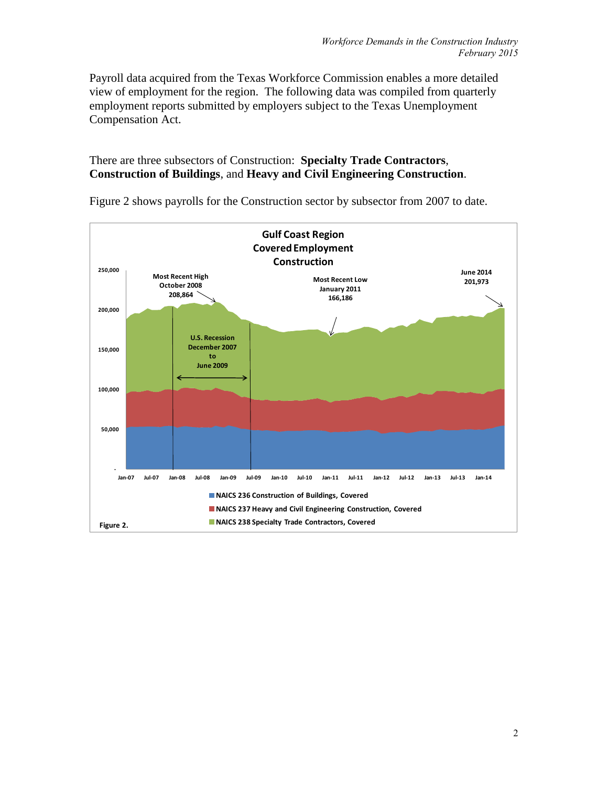Payroll data acquired from the Texas Workforce Commission enables a more detailed view of employment for the region. The following data was compiled from quarterly employment reports submitted by employers subject to the Texas Unemployment Compensation Act.

#### There are three subsectors of Construction: **Specialty Trade Contractors**, **Construction of Buildings**, and **Heavy and Civil Engineering Construction**.



Figure 2 shows payrolls for the Construction sector by subsector from 2007 to date.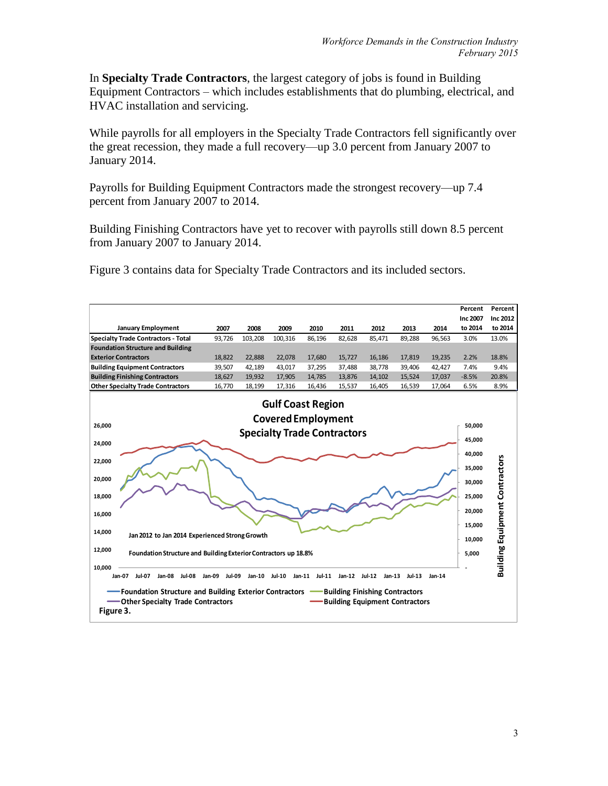In **Specialty Trade Contractors**, the largest category of jobs is found in Building Equipment Contractors – which includes establishments that do plumbing, electrical, and HVAC installation and servicing.

While payrolls for all employers in the Specialty Trade Contractors fell significantly over the great recession, they made a full recovery—up 3.0 percent from January 2007 to January 2014.

Payrolls for Building Equipment Contractors made the strongest recovery—up 7.4 percent from January 2007 to 2014.

Building Finishing Contractors have yet to recover with payrolls still down 8.5 percent from January 2007 to January 2014.

Figure 3 contains data for Specialty Trade Contractors and its included sectors.

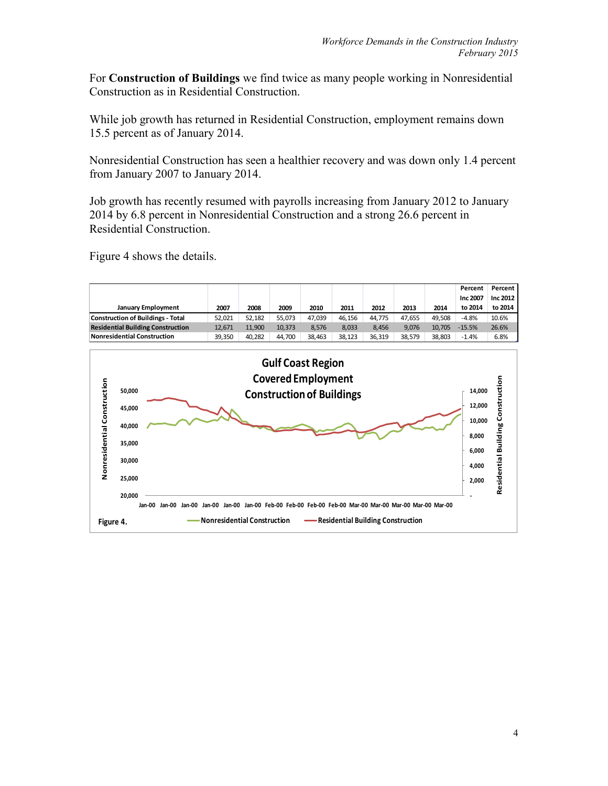For **Construction of Buildings** we find twice as many people working in Nonresidential Construction as in Residential Construction.

While job growth has returned in Residential Construction, employment remains down 15.5 percent as of January 2014.

Nonresidential Construction has seen a healthier recovery and was down only 1.4 percent from January 2007 to January 2014.

Job growth has recently resumed with payrolls increasing from January 2012 to January 2014 by 6.8 percent in Nonresidential Construction and a strong 26.6 percent in Residential Construction.

Figure 4 shows the details.

|                                          |        |        |        |        |        |        |        |        | Percent  | Percent I |
|------------------------------------------|--------|--------|--------|--------|--------|--------|--------|--------|----------|-----------|
|                                          |        |        |        |        |        |        |        |        | Inc 2007 | Inc 2012  |
| <b>January Employment</b>                | 2007   | 2008   | 2009   | 2010   | 2011   | 2012   | 2013   | 2014   | to 2014  | to 2014   |
| <b>Construction of Buildings - Total</b> | 52.021 | 52.182 | 55.073 | 47.039 | 46.156 | 44.775 | 47.655 | 49.508 | $-4.8%$  | 10.6%     |
| <b>Residential Building Construction</b> | 12.671 | 11.900 | 10.373 | 8.576  | 8.033  | 8.456  | 9.076  | 10.705 | $-15.5%$ | 26.6%     |
| Nonresidential Construction              | 39.350 | 40.282 | 44.700 | 38.463 | 38.123 | 36.319 | 38.579 | 38.803 | $-1.4%$  | 6.8%      |

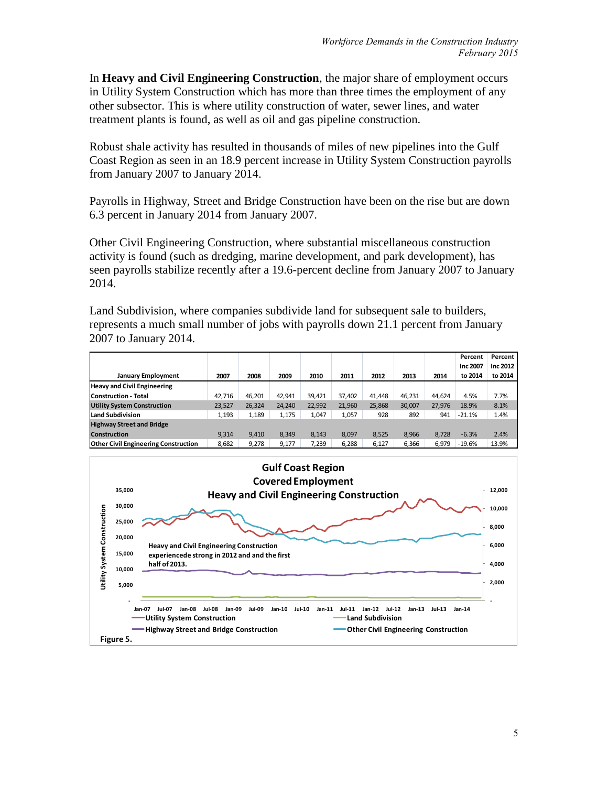In **Heavy and Civil Engineering Construction**, the major share of employment occurs in Utility System Construction which has more than three times the employment of any other subsector. This is where utility construction of water, sewer lines, and water treatment plants is found, as well as oil and gas pipeline construction.

Robust shale activity has resulted in thousands of miles of new pipelines into the Gulf Coast Region as seen in an 18.9 percent increase in Utility System Construction payrolls from January 2007 to January 2014.

Payrolls in Highway, Street and Bridge Construction have been on the rise but are down 6.3 percent in January 2014 from January 2007.

Other Civil Engineering Construction, where substantial miscellaneous construction activity is found (such as dredging, marine development, and park development), has seen payrolls stabilize recently after a 19.6-percent decline from January 2007 to January 2014.

Land Subdivision, where companies subdivide land for subsequent sale to builders, represents a much small number of jobs with payrolls down 21.1 percent from January 2007 to January 2014.

|                                             |        |        |        |        |        |        |        |        | Percent  | Percent  |
|---------------------------------------------|--------|--------|--------|--------|--------|--------|--------|--------|----------|----------|
|                                             |        |        |        |        |        |        |        |        | Inc 2007 | Inc 2012 |
| <b>January Employment</b>                   | 2007   | 2008   | 2009   | 2010   | 2011   | 2012   | 2013   | 2014   | to 2014  | to 2014  |
| <b>Heavy and Civil Engineering</b>          |        |        |        |        |        |        |        |        |          |          |
| Construction - Total                        | 42.716 | 46.201 | 42.941 | 39.421 | 37,402 | 41.448 | 46.231 | 44.624 | 4.5%     | 7.7%     |
| <b>Utility System Construction</b>          | 23,527 | 26.324 | 24.240 | 22.992 | 21.960 | 25.868 | 30.007 | 27.976 | 18.9%    | 8.1%     |
| Land Subdivision                            | 1,193  | 1.189  | 1,175  | 1.047  | 1.057  | 928    | 892    | 941    | $-21.1%$ | 1.4%     |
| <b>Highway Street and Bridge</b>            |        |        |        |        |        |        |        |        |          |          |
| <b>Construction</b>                         | 9.314  | 9.410  | 8.349  | 8.143  | 8.097  | 8.525  | 8.966  | 8.728  | $-6.3%$  | 2.4%     |
| <b>Other Civil Engineering Construction</b> | 8,682  | 9.278  | 9.177  | 7.239  | 6.288  | 6.127  | 6.366  | 6.979  | $-19.6%$ | 13.9%    |

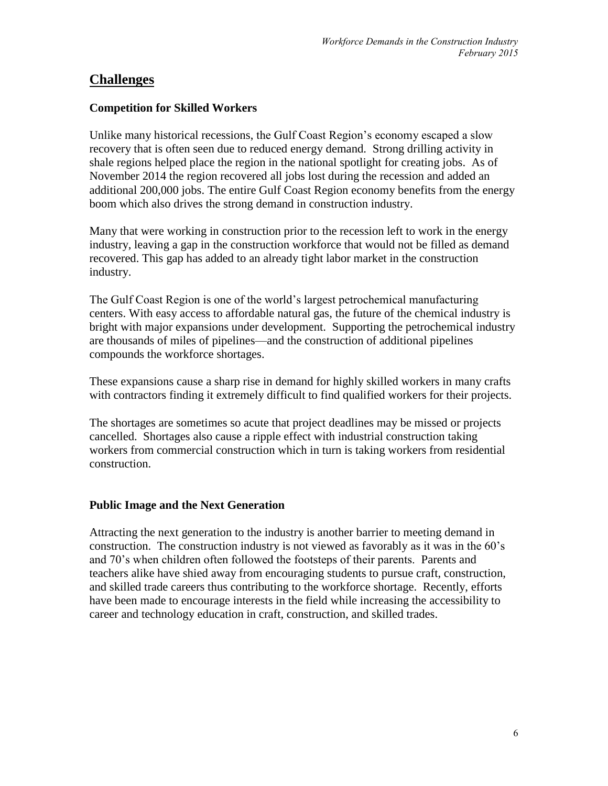#### **Challenges**

#### **Competition for Skilled Workers**

Unlike many historical recessions, the Gulf Coast Region's economy escaped a slow recovery that is often seen due to reduced energy demand. Strong drilling activity in shale regions helped place the region in the national spotlight for creating jobs. As of November 2014 the region recovered all jobs lost during the recession and added an additional 200,000 jobs. The entire Gulf Coast Region economy benefits from the energy boom which also drives the strong demand in construction industry.

Many that were working in construction prior to the recession left to work in the energy industry, leaving a gap in the construction workforce that would not be filled as demand recovered. This gap has added to an already tight labor market in the construction industry.

The Gulf Coast Region is one of the world's largest petrochemical manufacturing centers. With easy access to affordable natural gas, the future of the chemical industry is bright with major expansions under development. Supporting the petrochemical industry are thousands of miles of pipelines—and the construction of additional pipelines compounds the workforce shortages.

These expansions cause a sharp rise in demand for highly skilled workers in many crafts with contractors finding it extremely difficult to find qualified workers for their projects.

The shortages are sometimes so acute that project deadlines may be missed or projects cancelled. Shortages also cause a ripple effect with industrial construction taking workers from commercial construction which in turn is taking workers from residential construction.

#### **Public Image and the Next Generation**

Attracting the next generation to the industry is another barrier to meeting demand in construction. The construction industry is not viewed as favorably as it was in the 60's and 70's when children often followed the footsteps of their parents. Parents and teachers alike have shied away from encouraging students to pursue craft, construction, and skilled trade careers thus contributing to the workforce shortage. Recently, efforts have been made to encourage interests in the field while increasing the accessibility to career and technology education in craft, construction, and skilled trades.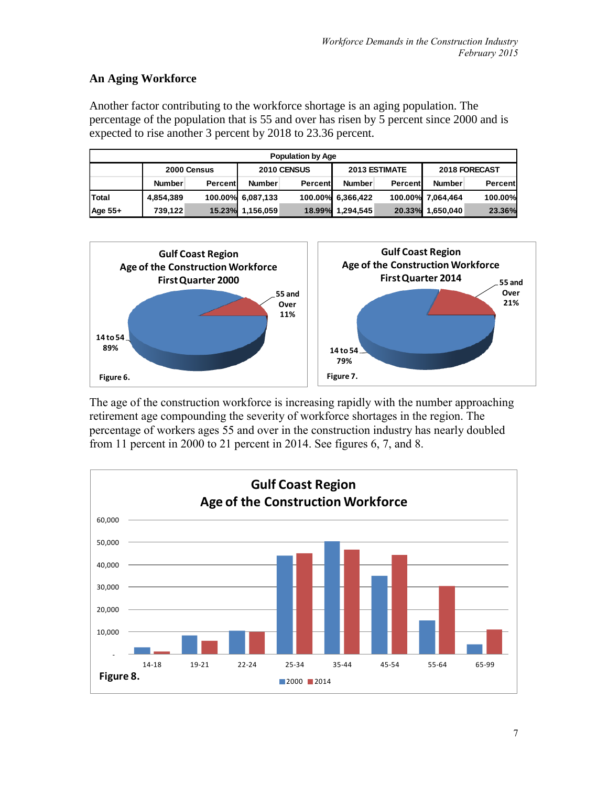#### **An Aging Workforce**

Another factor contributing to the workforce shortage is an aging population. The percentage of the population that is 55 and over has risen by 5 percent since 2000 and is expected to rise another 3 percent by 2018 to 23.36 percent.

| <b>Population by Age</b> |                                                                     |         |                   |         |                   |         |               |                |  |  |
|--------------------------|---------------------------------------------------------------------|---------|-------------------|---------|-------------------|---------|---------------|----------------|--|--|
|                          | <b>2013 ESTIMATE</b><br>2018 FORECAST<br>2010 CENSUS<br>2000 Census |         |                   |         |                   |         |               |                |  |  |
|                          | <b>Number</b>                                                       | Percent | <b>Number</b>     | Percent | <b>Number</b>     | Percent | <b>Number</b> | <b>Percent</b> |  |  |
| Total                    | 4,854,389                                                           |         | 100.00% 6,087,133 |         | 100.00% 6,366,422 | 100.00% | 7,064,464     | 100.00%        |  |  |
| Age 55+                  | 739.122                                                             | 15.23%  | 1,156,059         | 18.99%  | 1,294,545         | 20.33%  | 1,650,040     | 23.36%         |  |  |



The age of the construction workforce is increasing rapidly with the number approaching retirement age compounding the severity of workforce shortages in the region. The percentage of workers ages 55 and over in the construction industry has nearly doubled from 11 percent in 2000 to 21 percent in 2014. See figures 6, 7, and 8.

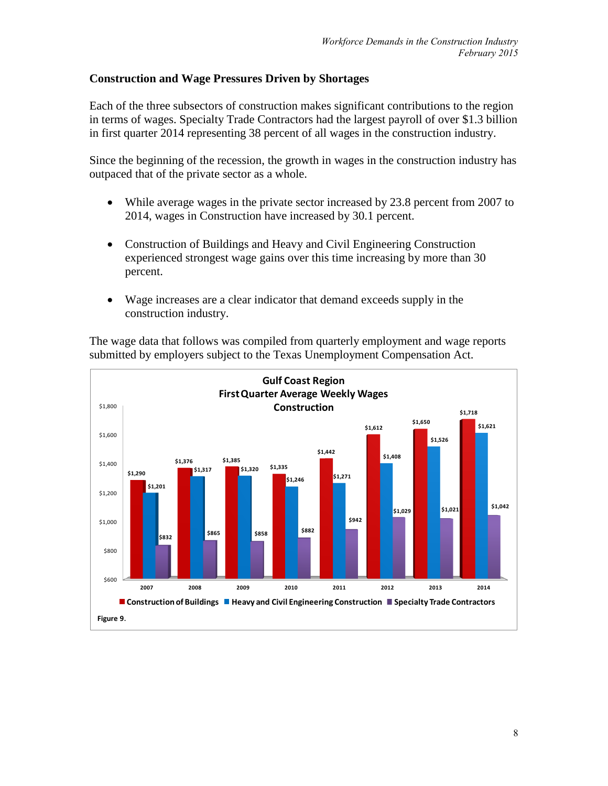#### **Construction and Wage Pressures Driven by Shortages**

Each of the three subsectors of construction makes significant contributions to the region in terms of wages. Specialty Trade Contractors had the largest payroll of over \$1.3 billion in first quarter 2014 representing 38 percent of all wages in the construction industry.

Since the beginning of the recession, the growth in wages in the construction industry has outpaced that of the private sector as a whole.

- While average wages in the private sector increased by 23.8 percent from 2007 to 2014, wages in Construction have increased by 30.1 percent.
- Construction of Buildings and Heavy and Civil Engineering Construction experienced strongest wage gains over this time increasing by more than 30 percent.
- Wage increases are a clear indicator that demand exceeds supply in the construction industry.

The wage data that follows was compiled from quarterly employment and wage reports submitted by employers subject to the Texas Unemployment Compensation Act.

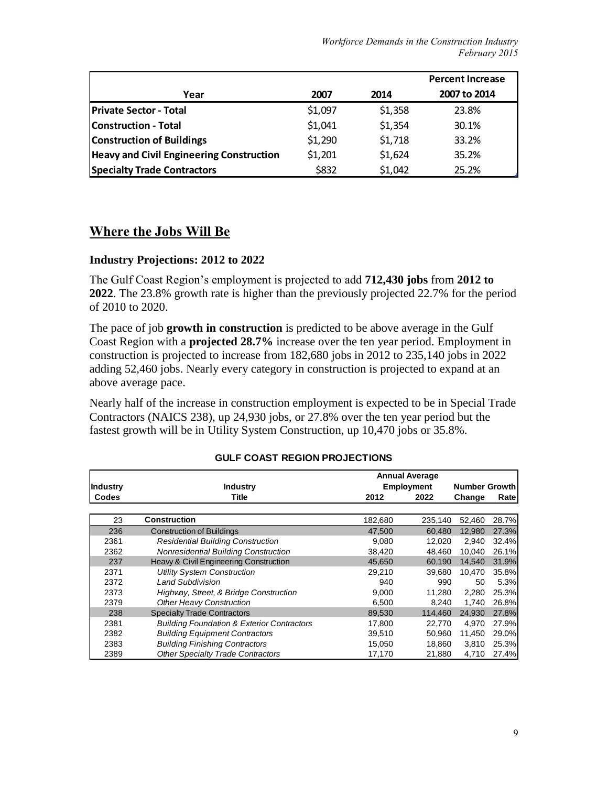|                                                 |         |         | <b>Percent Increase</b> |
|-------------------------------------------------|---------|---------|-------------------------|
| Year                                            | 2007    | 2014    | 2007 to 2014            |
| <b>Private Sector - Total</b>                   | \$1,097 | \$1,358 | 23.8%                   |
| <b>Construction - Total</b>                     | \$1,041 | \$1,354 | 30.1%                   |
| <b>Construction of Buildings</b>                | \$1,290 | \$1,718 | 33.2%                   |
| <b>Heavy and Civil Engineering Construction</b> | \$1,201 | \$1,624 | 35.2%                   |
| <b>Specialty Trade Contractors</b>              | \$832   | \$1,042 | 25.2%                   |

### **Where the Jobs Will Be**

#### **Industry Projections: 2012 to 2022**

The Gulf Coast Region's employment is projected to add **712,430 jobs** from **2012 to 2022**. The 23.8% growth rate is higher than the previously projected 22.7% for the period of 2010 to 2020.

The pace of job **growth in construction** is predicted to be above average in the Gulf Coast Region with a **projected 28.7%** increase over the ten year period. Employment in construction is projected to increase from 182,680 jobs in 2012 to 235,140 jobs in 2022 adding 52,460 jobs. Nearly every category in construction is projected to expand at an above average pace.

Nearly half of the increase in construction employment is expected to be in Special Trade Contractors (NAICS 238), up 24,930 jobs, or 27.8% over the ten year period but the fastest growth will be in Utility System Construction, up 10,470 jobs or 35.8%.

| <b>Annual Average</b> |                                                       |                   |                      |        |       |
|-----------------------|-------------------------------------------------------|-------------------|----------------------|--------|-------|
| <b>Industry</b>       | <b>Industry</b>                                       | <b>Employment</b> | <b>Number Growth</b> |        |       |
| Codes                 | Title                                                 | 2012              | 2022                 | Change | Rate  |
|                       |                                                       |                   |                      |        |       |
| 23                    | <b>Construction</b>                                   | 182,680           | 235,140              | 52,460 | 28.7% |
| 236                   | <b>Construction of Buildings</b>                      | 47.500            | 60.480               | 12.980 | 27.3% |
| 2361                  | <b>Residential Building Construction</b>              | 9,080             | 12.020               | 2,940  | 32.4% |
| 2362                  | Nonresidential Building Construction                  | 38,420            | 48.460               | 10,040 | 26.1% |
| 237                   | Heavy & Civil Engineering Construction                | 45,650            | 60.190               | 14.540 | 31.9% |
| 2371                  | <b>Utility System Construction</b>                    | 29.210            | 39.680               | 10.470 | 35.8% |
| 2372                  | <b>Land Subdivision</b>                               | 940               | 990                  | 50     | 5.3%  |
| 2373                  | Highway, Street, & Bridge Construction                | 9,000             | 11.280               | 2,280  | 25.3% |
| 2379                  | Other Heavy Construction                              | 6.500             | 8.240                | 1.740  | 26.8% |
| 238                   | <b>Specialty Trade Contractors</b>                    | 89,530            | 114.460              | 24,930 | 27.8% |
| 2381                  | <b>Building Foundation &amp; Exterior Contractors</b> | 17.800            | 22.770               | 4.970  | 27.9% |
| 2382                  | <b>Building Equipment Contractors</b>                 | 39,510            | 50.960               | 11.450 | 29.0% |
| 2383                  | <b>Building Finishing Contractors</b>                 | 15.050            | 18,860               | 3,810  | 25.3% |
| 2389                  | <b>Other Specialty Trade Contractors</b>              | 17,170            | 21,880               | 4,710  | 27.4% |

#### **GULF COAST REGION PROJECTIONS**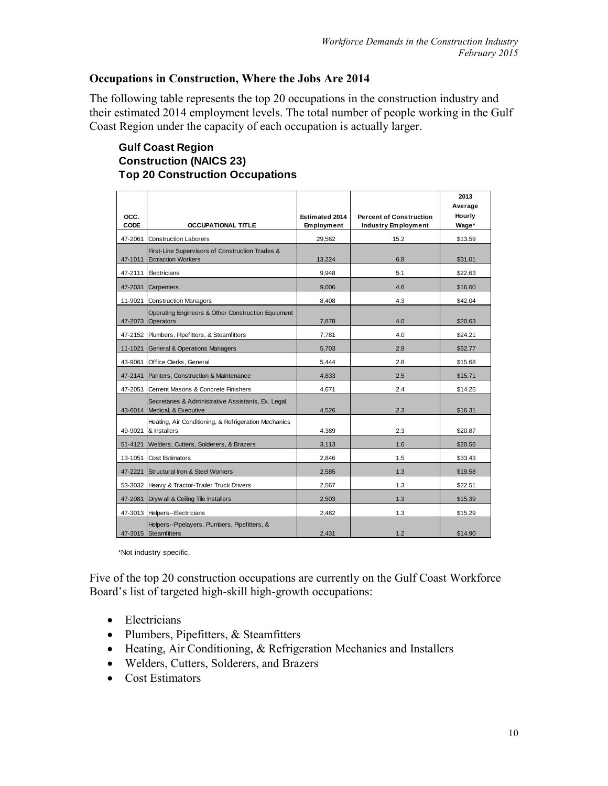#### **Occupations in Construction, Where the Jobs Are 2014**

The following table represents the top 20 occupations in the construction industry and their estimated 2014 employment levels. The total number of people working in the Gulf Coast Region under the capacity of each occupation is actually larger.

#### **Gulf Coast Region Construction (NAICS 23) Top 20 Construction Occupations**

| OCC.    |                                                                                     | Estimated 2014 | <b>Percent of Construction</b> | 2013<br>Average<br>Hourly |
|---------|-------------------------------------------------------------------------------------|----------------|--------------------------------|---------------------------|
| CODE    | <b>OCCUPATIONAL TITLE</b>                                                           | Employment     | <b>Industry Employment</b>     | Wage*                     |
| 47-2061 | <b>Construction Laborers</b>                                                        | 29.562         | 15.2                           | \$13.59                   |
| 47-1011 | First-Line Supervisors of Construction Trades &<br><b>Extraction Workers</b>        | 13.224         | 6.8                            | \$31.01                   |
| 47-2111 | Electricians                                                                        | 9,948          | 5.1                            | \$22.63                   |
|         | 47-2031 Carpenters                                                                  | 9.006          | 4.6                            | \$16.60                   |
|         | 11-9021 Construction Managers                                                       | 8.408          | 4.3                            | \$42.04                   |
|         | Operating Engineers & Other Construction Equipment<br>47-2073 Operators             | 7,878          | 4.0                            | \$20.63                   |
|         | 47-2152 Plumbers, Pipefitters, & Steamfitters                                       | 7,781          | 4.0                            | \$24.21                   |
| 11-1021 | <b>General &amp; Operations Managers</b>                                            | 5,703          | 2.9                            | \$62.77                   |
| 43-9061 | Office Clerks, General                                                              | 5.444          | 2.8                            | \$15.68                   |
| 47-2141 | Painters, Construction & Maintenance                                                | 4,833          | 2.5                            | \$15.71                   |
|         | 47-2051 Cement Masons & Concrete Finishers                                          | 4.671          | 2.4                            | \$14.25                   |
|         | Secretaries & Administrative Assistants, Ex. Legal,<br>43-6014 Medical, & Executive | 4,526          | 2.3                            | \$16.31                   |
|         | Heating, Air Conditioning, & Refrigeration Mechanics<br>49-9021 & Installers        | 4.389          | 2.3                            | \$20.87                   |
|         | 51-4121 Welders, Cutters, Solderers, & Brazers                                      | 3,113          | 1.6                            | \$20.56                   |
|         | 13-1051 Cost Estimators                                                             | 2.846          | 1.5                            | \$33.43                   |
|         | 47-2221 Structural Iron & Steel Workers                                             | 2,585          | 1.3                            | \$19.58                   |
|         | 53-3032 Heavy & Tractor-Trailer Truck Drivers                                       | 2.567          | 1.3                            | \$22.51                   |
|         | 47-2081 Dryw all & Ceiling Tile Installers                                          | 2.503          | 1.3                            | \$15.39                   |
|         | 47-3013 Helpers--Electricians                                                       | 2,482          | 1.3                            | \$15.29                   |
|         | Helpers--Pipelayers, Plumbers, Pipefitters, &<br>47-3015 Steamfitters               | 2,431          | 1.2                            | \$14.90                   |

\*Not industry specific.

Five of the top 20 construction occupations are currently on the Gulf Coast Workforce Board's list of targeted high-skill high-growth occupations:

- Electricians
- Plumbers, Pipefitters, & Steamfitters
- Heating, Air Conditioning, & Refrigeration Mechanics and Installers
- Welders, Cutters, Solderers, and Brazers
- Cost Estimators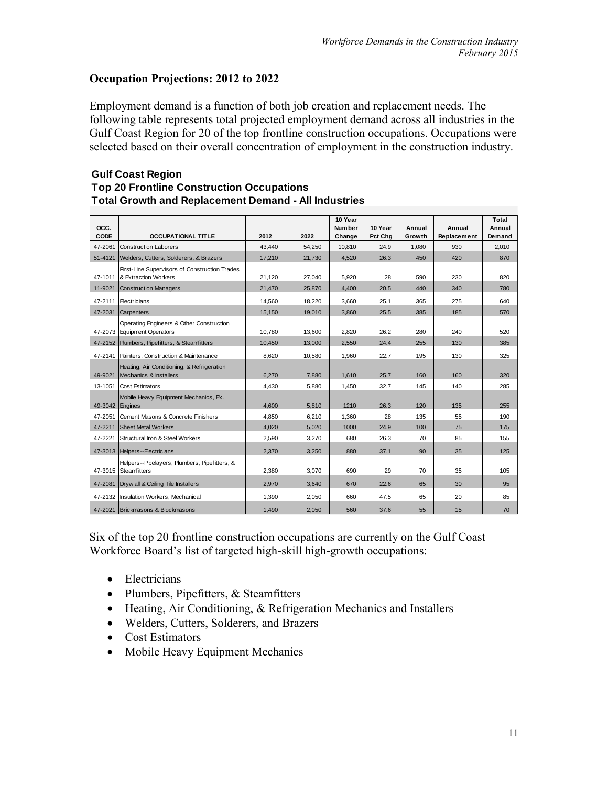#### **Occupation Projections: 2012 to 2022**

Employment demand is a function of both job creation and replacement needs. The following table represents total projected employment demand across all industries in the Gulf Coast Region for 20 of the top frontline construction occupations. Occupations were selected based on their overall concentration of employment in the construction industry.

#### **Gulf Coast Region Top 20 Frontline Construction Occupations Total Growth and Replacement Demand - All Industries**

| OCC.<br><b>CODE</b> | <b>OCCUPATIONAL TITLE</b>                                               | 2012   | 2022   | 10 Year<br><b>Number</b><br>Change | 10 Year<br>Pct Chg | Annual<br>Growth | Annual<br>Replacement | Total<br>Annual<br>Demand |
|---------------------|-------------------------------------------------------------------------|--------|--------|------------------------------------|--------------------|------------------|-----------------------|---------------------------|
| 47-2061             | <b>Construction Laborers</b>                                            | 43,440 | 54,250 | 10,810                             | 24.9               | 1,080            | 930                   | 2,010                     |
| 51-4121             | Welders, Cutters, Solderers, & Brazers                                  | 17,210 | 21,730 | 4,520                              | 26.3               | 450              | 420                   | 870                       |
| 47-1011             | First-Line Supervisors of Construction Trades<br>& Extraction Workers   | 21,120 | 27,040 | 5,920                              | 28                 | 590              | 230                   | 820                       |
|                     | 11-9021 Construction Managers                                           | 21.470 | 25,870 | 4.400                              | 20.5               | 440              | 340                   | 780                       |
|                     | 47-2111 Electricians                                                    | 14,560 | 18,220 | 3,660                              | 25.1               | 365              | 275                   | 640                       |
|                     | 47-2031 Carpenters                                                      | 15,150 | 19,010 | 3,860                              | 25.5               | 385              | 185                   | 570                       |
|                     | Operating Engineers & Other Construction<br>47-2073 Equipment Operators | 10.780 | 13,600 | 2,820                              | 26.2               | 280              | 240                   | 520                       |
|                     | 47-2152 Plumbers, Pipefitters, & Steamfitters                           | 10.450 | 13,000 | 2,550                              | 24.4               | 255              | 130                   | 385                       |
|                     | 47-2141 Painters, Construction & Maintenance                            | 8.620  | 10.580 | 1.960                              | 22.7               | 195              | 130                   | 325                       |
| 49-9021             | Heating, Air Conditioning, & Refrigeration<br>Mechanics & Installers    | 6,270  | 7,880  | 1,610                              | 25.7               | 160              | 160                   | 320                       |
|                     | 13-1051 Cost Estimators                                                 | 4.430  | 5.880  | 1.450                              | 32.7               | 145              | 140                   | 285                       |
| 49-3042 Engines     | Mobile Heavy Equipment Mechanics, Ex.                                   | 4.600  | 5,810  | 1210                               | 26.3               | 120              | 135                   | 255                       |
| 47-2051             | Cement Masons & Concrete Finishers                                      | 4.850  | 6,210  | 1.360                              | 28                 | 135              | 55                    | 190                       |
|                     | 47-2211 Sheet Metal Workers                                             | 4.020  | 5.020  | 1000                               | 24.9               | 100              | 75                    | 175                       |
|                     | 47-2221 Structural Iron & Steel Workers                                 | 2.590  | 3.270  | 680                                | 26.3               | 70               | 85                    | 155                       |
|                     | 47-3013 Helpers--Electricians                                           | 2.370  | 3,250  | 880                                | 37.1               | 90               | 35                    | 125                       |
| 47-3015             | Helpers--Pipelayers, Plumbers, Pipefitters, &<br><b>Steamfitters</b>    | 2.380  | 3,070  | 690                                | 29                 | 70               | 35                    | 105                       |
|                     | 47-2081 Dryw all & Ceiling Tile Installers                              | 2.970  | 3.640  | 670                                | 22.6               | 65               | 30                    | 95                        |
|                     | 47-2132 Insulation Workers, Mechanical                                  | 1.390  | 2,050  | 660                                | 47.5               | 65               | 20                    | 85                        |
|                     | 47-2021 Brickmasons & Blockmasons                                       | 1,490  | 2,050  | 560                                | 37.6               | 55               | 15                    | 70                        |

Six of the top 20 frontline construction occupations are currently on the Gulf Coast Workforce Board's list of targeted high-skill high-growth occupations:

- Electricians
- Plumbers, Pipefitters, & Steamfitters
- $\bullet$  Heating, Air Conditioning, & Refrigeration Mechanics and Installers
- Welders, Cutters, Solderers, and Brazers
- Cost Estimators
- Mobile Heavy Equipment Mechanics